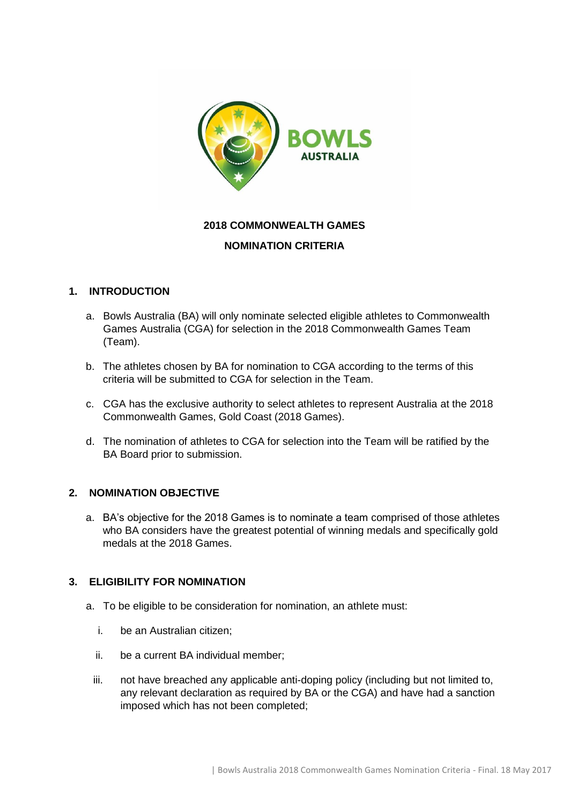

# **2018 COMMONWEALTH GAMES**

### **NOMINATION CRITERIA**

## **1. INTRODUCTION**

- a. Bowls Australia (BA) will only nominate selected eligible athletes to Commonwealth Games Australia (CGA) for selection in the 2018 Commonwealth Games Team (Team).
- b. The athletes chosen by BA for nomination to CGA according to the terms of this criteria will be submitted to CGA for selection in the Team.
- c. CGA has the exclusive authority to select athletes to represent Australia at the 2018 Commonwealth Games, Gold Coast (2018 Games).
- d. The nomination of athletes to CGA for selection into the Team will be ratified by the BA Board prior to submission.

### **2. NOMINATION OBJECTIVE**

a. BA's objective for the 2018 Games is to nominate a team comprised of those athletes who BA considers have the greatest potential of winning medals and specifically gold medals at the 2018 Games.

### **3. ELIGIBILITY FOR NOMINATION**

- a. To be eligible to be consideration for nomination, an athlete must:
	- i. be an Australian citizen;
	- ii. be a current BA individual member;
	- iii. not have breached any applicable anti-doping policy (including but not limited to, any relevant declaration as required by BA or the CGA) and have had a sanction imposed which has not been completed;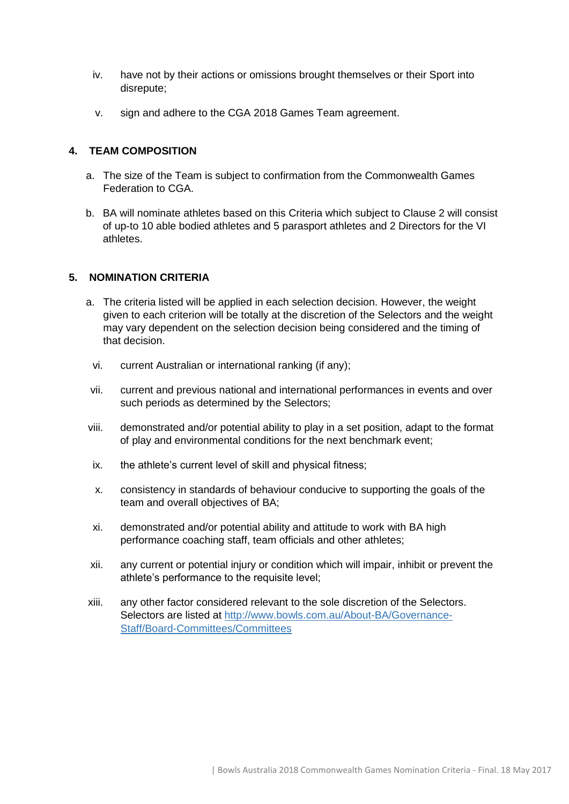- iv. have not by their actions or omissions brought themselves or their Sport into disrepute;
- v. sign and adhere to the CGA 2018 Games Team agreement.

### **4. TEAM COMPOSITION**

- a. The size of the Team is subject to confirmation from the Commonwealth Games Federation to CGA.
- b. BA will nominate athletes based on this Criteria which subject to Clause 2 will consist of up-to 10 able bodied athletes and 5 parasport athletes and 2 Directors for the VI athletes.

## **5. NOMINATION CRITERIA**

- a. The criteria listed will be applied in each selection decision. However, the weight given to each criterion will be totally at the discretion of the Selectors and the weight may vary dependent on the selection decision being considered and the timing of that decision.
- vi. current Australian or international ranking (if any);
- vii. current and previous national and international performances in events and over such periods as determined by the Selectors;
- viii. demonstrated and/or potential ability to play in a set position, adapt to the format of play and environmental conditions for the next benchmark event;
- ix. the athlete's current level of skill and physical fitness;
- x. consistency in standards of behaviour conducive to supporting the goals of the team and overall objectives of BA;
- xi. demonstrated and/or potential ability and attitude to work with BA high performance coaching staff, team officials and other athletes;
- xii. any current or potential injury or condition which will impair, inhibit or prevent the athlete's performance to the requisite level;
- xiii. any other factor considered relevant to the sole discretion of the Selectors. Selectors are listed at [http://www.bowls.com.au/About-BA/Governance-](http://www.bowls.com.au/About-BA/Governance-Staff/Board-Committees/Committees)[Staff/Board-Committees/Committees](http://www.bowls.com.au/About-BA/Governance-Staff/Board-Committees/Committees)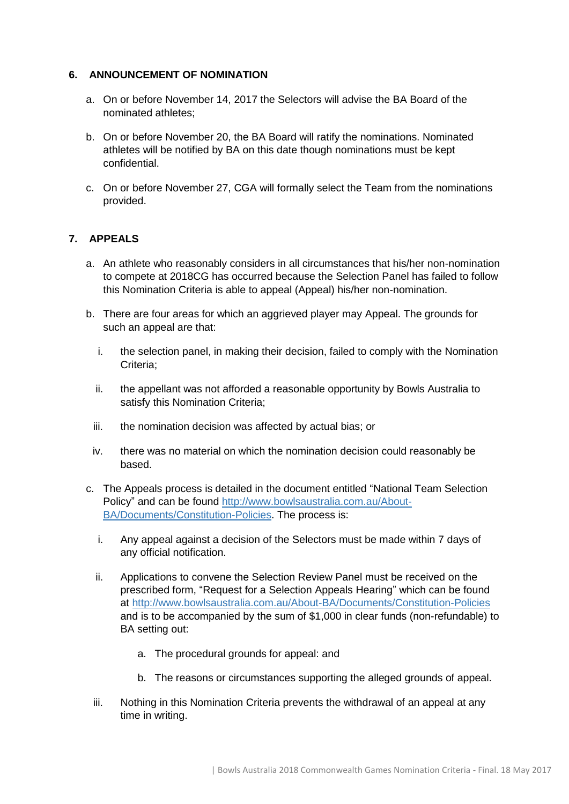### **6. ANNOUNCEMENT OF NOMINATION**

- a. On or before November 14, 2017 the Selectors will advise the BA Board of the nominated athletes;
- b. On or before November 20, the BA Board will ratify the nominations. Nominated athletes will be notified by BA on this date though nominations must be kept confidential.
- c. On or before November 27, CGA will formally select the Team from the nominations provided.

### **7. APPEALS**

- a. An athlete who reasonably considers in all circumstances that his/her non-nomination to compete at 2018CG has occurred because the Selection Panel has failed to follow this Nomination Criteria is able to appeal (Appeal) his/her non-nomination.
- b. There are four areas for which an aggrieved player may Appeal. The grounds for such an appeal are that:
	- i. the selection panel, in making their decision, failed to comply with the Nomination Criteria;
	- ii. the appellant was not afforded a reasonable opportunity by Bowls Australia to satisfy this Nomination Criteria;
	- iii. the nomination decision was affected by actual bias; or
	- iv. there was no material on which the nomination decision could reasonably be based.
- c. The Appeals process is detailed in the document entitled "National Team Selection Policy" and can be found [http://www.bowlsaustralia.com.au/About-](http://www.bowlsaustralia.com.au/About-BA/Documents/Constitution-Policies)[BA/Documents/Constitution-Policies.](http://www.bowlsaustralia.com.au/About-BA/Documents/Constitution-Policies) The process is:
	- i. Any appeal against a decision of the Selectors must be made within 7 days of any official notification.
	- ii. Applications to convene the Selection Review Panel must be received on the prescribed form, "Request for a Selection Appeals Hearing" which can be found at<http://www.bowlsaustralia.com.au/About-BA/Documents/Constitution-Policies> and is to be accompanied by the sum of \$1,000 in clear funds (non-refundable) to BA setting out:
		- a. The procedural grounds for appeal: and
		- b. The reasons or circumstances supporting the alleged grounds of appeal.
	- iii. Nothing in this Nomination Criteria prevents the withdrawal of an appeal at any time in writing.